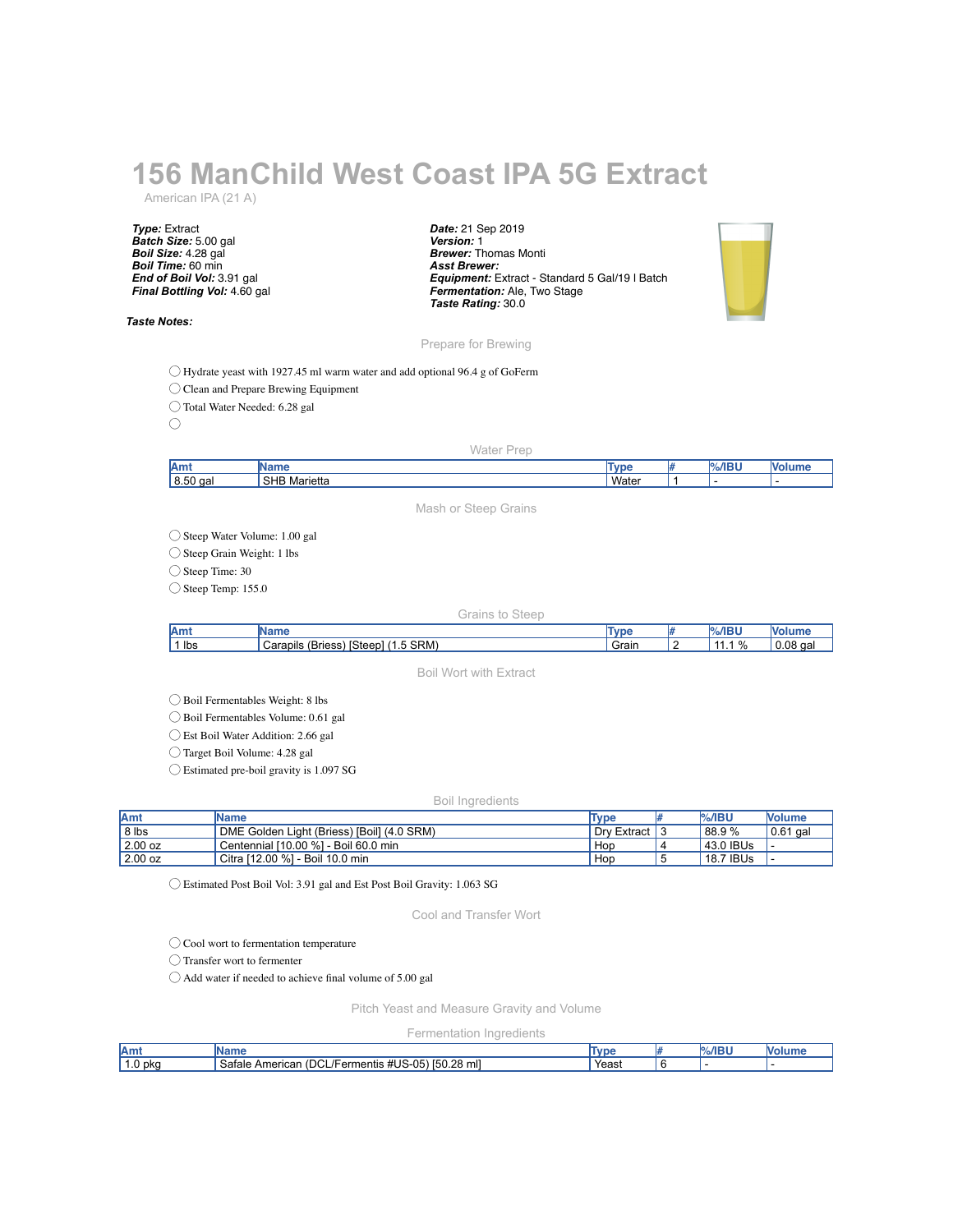# **156 ManChild West Coast IPA 5G Extract**

American IPA (21 A)

*Type:* Extract *Batch Size:* 5.00 gal *Boil Size:* 4.28 gal *Boil Time:* 60 min *End of Boil Vol:* 3.91 gal *Final Bottling Vol:* 4.60 gal

## *Taste Notes:*

*Date:* 21 Sep 2019 *Version:* 1 *Brewer:* Thomas Monti *Asst Brewer: Equipment:* Extract - Standard 5 Gal/19 l Batch *Fermentation:* Ale, Two Stage *Taste Rating:* 30.0



Prepare for Brewing

◯ Hydrate yeast with 1927.45 ml warm water and add optional 96.4 g of GoFerm

◯ Clean and Prepare Brewing Equipment

◯ Total Water Needed: 6.28 gal

 $\bigcirc$ 

# Water Prep

| <b>JAmy</b> | ---                             | <b>in</b> | . |  |
|-------------|---------------------------------|-----------|---|--|
| 8.50<br>aa  | <b>SHB</b><br>⁄††هα<br>Marietta | Wate.     |   |  |

Mash or Steep Grains

◯ Steep Water Volume: 1.00 gal

◯ Steep Grain Weight: 1 lbs

◯ Steep Time: 30

 $\bigcirc$  Steep Temp: 155.0

## Grains to Steep

| Amt                     |                                                                            | <b>STATE</b> | <b><i><u>ALCOHOL: 12</u></i></b> |                          |
|-------------------------|----------------------------------------------------------------------------|--------------|----------------------------------|--------------------------|
| ' Ibs<br>$\overline{ }$ | 0.511<br>$\sim$<br>Steer<br>Carapils<br>. Briess<br><b>SRM</b><br>$\cdots$ | -<br>Grain   | $\%$                             | <b>08</b><br>aal<br>◡.◡◡ |

Boil Wort with Extract

◯ Boil Fermentables Weight: 8 lbs

◯ Boil Fermentables Volume: 0.61 gal

◯ Est Boil Water Addition: 2.66 gal

◯ Target Boil Volume: 4.28 gal

◯ Estimated pre-boil gravity is 1.097 SG

#### Boil Ingredients

| <b>IAmt</b> | Name                                       | Type        | <b>%/IBU</b> | <b>Nolume</b> |
|-------------|--------------------------------------------|-------------|--------------|---------------|
| 8 lbs       | DME Golden Light (Briess) [Boil] (4.0 SRM) | Dry Extract | 88.9%        | 0.61 <br>aal  |
| $2.00$ oz   | Centennial [10.00 %] - Boil 60.0 min       | Hop         | 43.0 IBUs    |               |
| 2.00 oz     | Citra [12.00 %] - Boil 10.0 min            | Hop         | 18.7 IBUs    |               |

◯ Estimated Post Boil Vol: 3.91 gal and Est Post Boil Gravity: 1.063 SG

Cool and Transfer Wort

◯ Cool wort to fermentation temperature

◯ Transfer wort to fermenter

◯ Add water if needed to achieve final volume of 5.00 gal

Pitch Yeast and Measure Gravity and Volume

Fermentation Ingredients

| ՛Amւ          |                                                                                                        | l vr  | ADII | w |
|---------------|--------------------------------------------------------------------------------------------------------|-------|------|---|
| . pkc<br>∶ ∪. | $\sim$<br>[50.28]<br>. #US-05<br>-<br>$\sim$ $\sim$<br>mll<br>Americar<br>Satale<br>/Fermentis<br>'DGL | Yeast |      |   |